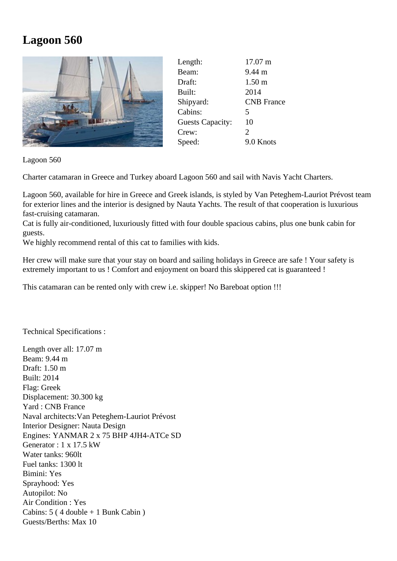## **Lagoon 560**



| Length:                 | 17.07 m               |
|-------------------------|-----------------------|
| Beam:                   | $9.44 \text{ m}$      |
| Draft:                  | 1.50 <sub>m</sub>     |
| Built:                  | 2014                  |
| Shipyard:               | <b>CNB</b> France     |
| Cabins:                 | 5                     |
| <b>Guests Capacity:</b> | 10                    |
| Crew:                   | $\mathcal{D}_{\cdot}$ |
| Speed:                  | 9.0 Knots             |

Lagoon 560

Charter catamaran in Greece and Turkey aboard Lagoon 560 and sail with Navis Yacht Charters.

Lagoon 560, available for hire in Greece and Greek islands, is styled by Van Peteghem-Lauriot Prévost team for exterior lines and the interior is designed by Nauta Yachts. The result of that cooperation is luxurious fast-cruising catamaran.

Cat is fully air-conditioned, luxuriously fitted with four double spacious cabins, plus one bunk cabin for guests.

We highly recommend rental of this cat to families with kids.

Her crew will make sure that your stay on board and sailing holidays in Greece are safe ! Your safety is extremely important to us ! Comfort and enjoyment on board this skippered cat is guaranteed !

This catamaran can be rented only with crew i.e. skipper! No Bareboat option !!!

Technical Specifications :

Length over all: 17.07 m Beam: 9.44 m Draft: 1.50 m Built: 2014 Flag: Greek Displacement: 30.300 kg Yard : CNB France Naval architects:Van Peteghem-Lauriot Prévost Interior Designer: Nauta Design Engines: YANMAR 2 x 75 BHP 4JH4-ATCe SD Generator : 1 x 17.5 kW Water tanks: 960lt Fuel tanks: 1300 lt Bimini: Yes Sprayhood: Yes Autopilot: No Air Condition : Yes Cabins: 5 ( 4 double + 1 Bunk Cabin ) Guests/Berths: Max 10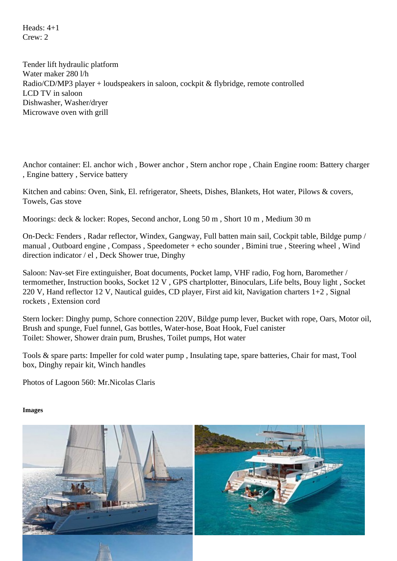Crew: 2

Tender lift hydraulic platform Water maker 280 l/h Radio/CD/MP3 player + loudspeakers in saloon, cockpit & flybridge, remote controlled LCD TV in saloon Dishwasher, Washer/dryer Microwave oven with grill

Anchor container: El. anchor wich , Bower anchor , Stern anchor rope , Chain Engine room: Battery charger , Engine battery , Service battery

Kitchen and cabins: Oven, Sink, El. refrigerator, Sheets, Dishes, Blankets, Hot water, Pilows & covers, Towels, Gas stove

Moorings: deck & locker: Ropes, Second anchor, Long 50 m , Short 10 m , Medium 30 m

On-Deck: Fenders , Radar reflector, Windex, Gangway, Full batten main sail, Cockpit table, Bildge pump / manual , Outboard engine , Compass , Speedometer + echo sounder , Bimini true , Steering wheel , Wind direction indicator / el , Deck Shower true, Dinghy

Saloon: Nav-set Fire extinguisher, Boat documents, Pocket lamp, VHF radio, Fog horn, Baromether / termomether, Instruction books, Socket 12 V , GPS chartplotter, Binoculars, Life belts, Bouy light , Socket 220 V, Hand reflector 12 V, Nautical guides, CD player, First aid kit, Navigation charters 1+2 , Signal rockets , Extension cord

Stern locker: Dinghy pump, Schore connection 220V, Bildge pump lever, Bucket with rope, OarsoilMotor Brush and spunge, Fuel funnel, Gas bottles, Water-hose, Boat Hook, Fuel canister Toilet: Shower, Shower drain pum, Brushes, Toilet pumps, Hot water

Tools & spare parts: Impeller for cold water pump , Insulating tape, spare batteries, Chair for mast, Tool box, Dinghy repair kit, Winch handles

Photos of Lagoon 560: Mr.Nicolas Claris

Images